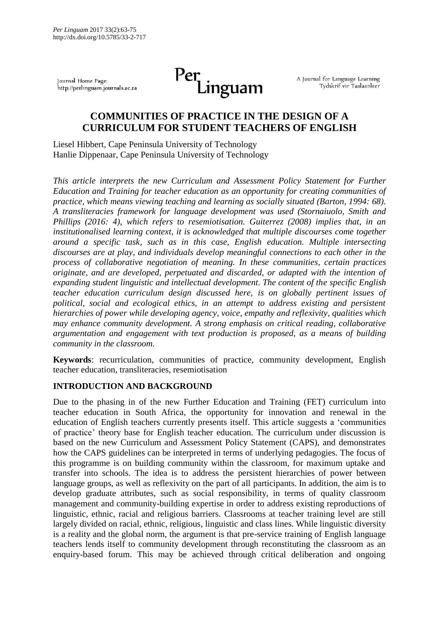Journal Home Page: http://perlinguam.journals.ac.za



A Journal for Language Learning Tydskrif vir Taalaanleer

# **COMMUNITIES OF PRACTICE IN THE DESIGN OF A CURRICULUM FOR STUDENT TEACHERS OF ENGLISH**

Liesel Hibbert, Cape Peninsula University of Technology Hanlie Dippenaar, Cape Peninsula University of Technology

*This article interprets the new Curriculum and Assessment Policy Statement for Further Education and Training for teacher education as an opportunity for creating communities of practice, which means viewing teaching and learning as socially situated (Barton, 1994: 68). A transliteracies framework for language development was used (Stornaiuolo, Smith and Phillips (2016: 4), which refers to resemiotisation. Guiterrez (2008) implies that, in an institutionalised learning context, it is acknowledged that multiple discourses come together around a specific task, such as in this case, English education. Multiple intersecting discourses are at play, and individuals develop meaningful connections to each other in the process of collaborative negotiation of meaning. In these communities, certain practices originate, and are developed, perpetuated and discarded, or adapted with the intention of expanding student linguistic and intellectual development. The content of the specific English teacher education curriculum design discussed here, is on globally pertinent issues of political, social and ecological ethics, in an attempt to address existing and persistent hierarchies of power while developing agency, voice, empathy and reflexivity, qualities which may enhance community development. A strong emphasis on critical reading, collaborative argumentation and engagement with text production is proposed, as a means of building community in the classroom.*

**Keywords**: recurriculation, communities of practice, community development, English teacher education, transliteracies, resemiotisation

# **INTRODUCTION AND BACKGROUND**

Due to the phasing in of the new Further Education and Training (FET) curriculum into teacher education in South Africa, the opportunity for innovation and renewal in the education of English teachers currently presents itself. This article suggests a 'communities of practice' theory base for English teacher education. The curriculum under discussion is based on the new Curriculum and Assessment Policy Statement (CAPS), and demonstrates how the CAPS guidelines can be interpreted in terms of underlying pedagogies. The focus of this programme is on building community within the classroom, for maximum uptake and transfer into schools. The idea is to address the persistent hierarchies of power between language groups, as well as reflexivity on the part of all participants. In addition, the aim is to develop graduate attributes, such as social responsibility, in terms of quality classroom management and community-building expertise in order to address existing reproductions of linguistic, ethnic, racial and religious barriers. Classrooms at teacher training level are still largely divided on racial, ethnic, religious, linguistic and class lines. While linguistic diversity is a reality and the global norm, the argument is that pre-service training of English language teachers lends itself to community development through reconstituting the classroom as an enquiry-based forum. This may be achieved through critical deliberation and ongoing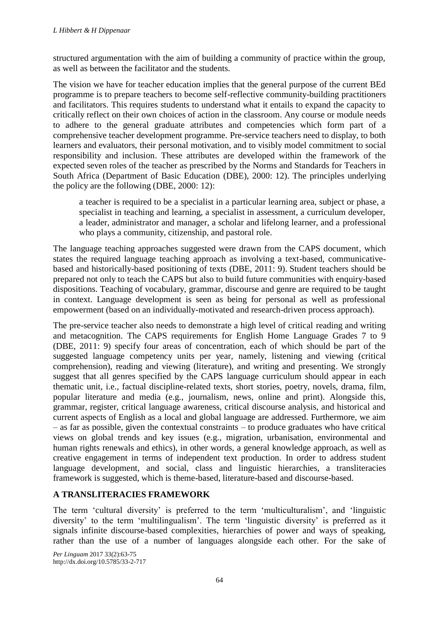structured argumentation with the aim of building a community of practice within the group, as well as between the facilitator and the students.

The vision we have for teacher education implies that the general purpose of the current BEd programme is to prepare teachers to become self-reflective community-building practitioners and facilitators. This requires students to understand what it entails to expand the capacity to critically reflect on their own choices of action in the classroom. Any course or module needs to adhere to the general graduate attributes and competencies which form part of a comprehensive teacher development programme. Pre-service teachers need to display, to both learners and evaluators, their personal motivation, and to visibly model commitment to social responsibility and inclusion. These attributes are developed within the framework of the expected seven roles of the teacher as prescribed by the Norms and Standards for Teachers in South Africa (Department of Basic Education (DBE), 2000: 12). The principles underlying the policy are the following (DBE, 2000: 12):

a teacher is required to be a specialist in a particular learning area, subject or phase, a specialist in teaching and learning, a specialist in assessment, a curriculum developer, a leader, administrator and manager, a scholar and lifelong learner, and a professional who plays a community, citizenship, and pastoral role.

The language teaching approaches suggested were drawn from the CAPS document, which states the required language teaching approach as involving a text-based, communicativebased and historically-based positioning of texts (DBE, 2011: 9). Student teachers should be prepared not only to teach the CAPS but also to build future communities with enquiry-based dispositions. Teaching of vocabulary, grammar, discourse and genre are required to be taught in context. Language development is seen as being for personal as well as professional empowerment (based on an individually-motivated and research-driven process approach).

The pre-service teacher also needs to demonstrate a high level of critical reading and writing and metacognition. The CAPS requirements for English Home Language Grades 7 to 9 (DBE, 2011: 9) specify four areas of concentration, each of which should be part of the suggested language competency units per year, namely, listening and viewing (critical comprehension), reading and viewing (literature), and writing and presenting. We strongly suggest that all genres specified by the CAPS language curriculum should appear in each thematic unit, i.e., factual discipline-related texts, short stories, poetry, novels, drama, film, popular literature and media (e.g., journalism, news, online and print). Alongside this, grammar, register, critical language awareness, critical discourse analysis, and historical and current aspects of English as a local and global language are addressed. Furthermore, we aim – as far as possible, given the contextual constraints – to produce graduates who have critical views on global trends and key issues (e.g., migration, urbanisation, environmental and human rights renewals and ethics), in other words, a general knowledge approach, as well as creative engagement in terms of independent text production. In order to address student language development, and social, class and linguistic hierarchies, a transliteracies framework is suggested, which is theme-based, literature-based and discourse-based.

# **A TRANSLITERACIES FRAMEWORK**

The term 'cultural diversity' is preferred to the term 'multiculturalism', and 'linguistic diversity' to the term 'multilingualism'. The term 'linguistic diversity' is preferred as it signals infinite discourse-based complexities, hierarchies of power and ways of speaking, rather than the use of a number of languages alongside each other. For the sake of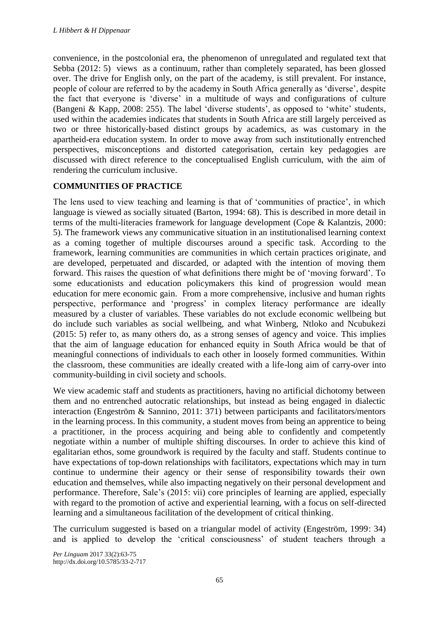convenience, in the postcolonial era, the phenomenon of unregulated and regulated text that Sebba (2012: 5) views as a continuum, rather than completely separated, has been glossed over. The drive for English only, on the part of the academy, is still prevalent. For instance, people of colour are referred to by the academy in South Africa generally as 'diverse', despite the fact that everyone is 'diverse' in a multitude of ways and configurations of culture (Bangeni & Kapp, 2008: 255). The label 'diverse students', as opposed to 'white' students, used within the academies indicates that students in South Africa are still largely perceived as two or three historically-based distinct groups by academics, as was customary in the apartheid-era education system. In order to move away from such institutionally entrenched perspectives, misconceptions and distorted categorisation, certain key pedagogies are discussed with direct reference to the conceptualised English curriculum, with the aim of rendering the curriculum inclusive.

# **COMMUNITIES OF PRACTICE**

The lens used to view teaching and learning is that of 'communities of practice', in which language is viewed as socially situated (Barton, 1994: 68). This is described in more detail in terms of the multi-literacies framework for language development (Cope & Kalantzis, 2000: 5). The framework views any communicative situation in an institutionalised learning context as a coming together of multiple discourses around a specific task. According to the framework, learning communities are communities in which certain practices originate, and are developed, perpetuated and discarded, or adapted with the intention of moving them forward. This raises the question of what definitions there might be of 'moving forward'. To some educationists and education policymakers this kind of progression would mean education for mere economic gain. From a more comprehensive, inclusive and human rights perspective, performance and 'progress' in complex literacy performance are ideally measured by a cluster of variables. These variables do not exclude economic wellbeing but do include such variables as social wellbeing, and what Winberg, Ntloko and Ncubukezi (2015: 5) refer to, as many others do, as a strong senses of agency and voice. This implies that the aim of language education for enhanced equity in South Africa would be that of meaningful connections of individuals to each other in loosely formed communities. Within the classroom, these communities are ideally created with a life-long aim of carry-over into community-building in civil society and schools.

We view academic staff and students as practitioners, having no artificial dichotomy between them and no entrenched autocratic relationships, but instead as being engaged in dialectic interaction (Engeström & Sannino, 2011: 371) between participants and facilitators/mentors in the learning process. In this community, a student moves from being an apprentice to being a practitioner, in the process acquiring and being able to confidently and competently negotiate within a number of multiple shifting discourses. In order to achieve this kind of egalitarian ethos, some groundwork is required by the faculty and staff. Students continue to have expectations of top-down relationships with facilitators, expectations which may in turn continue to undermine their agency or their sense of responsibility towards their own education and themselves, while also impacting negatively on their personal development and performance. Therefore, Sale's (2015: vii) core principles of learning are applied, especially with regard to the promotion of active and experiential learning, with a focus on self-directed learning and a simultaneous facilitation of the development of critical thinking.

The curriculum suggested is based on a triangular model of activity (Engeström, 1999: 34) and is applied to develop the 'critical consciousness' of student teachers through a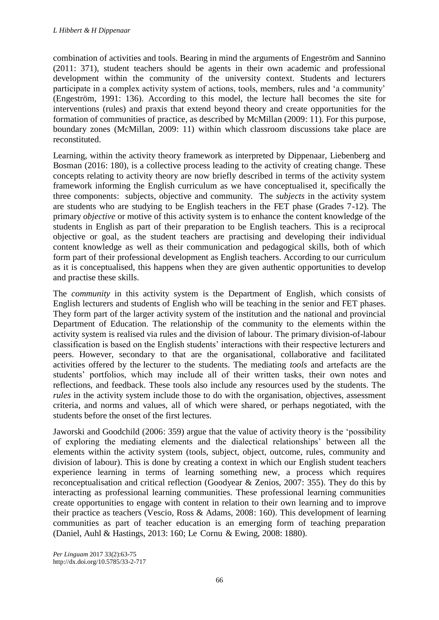combination of activities and tools. Bearing in mind the arguments of Engeström and Sannino (2011: 371), student teachers should be agents in their own academic and professional development within the community of the university context. Students and lecturers participate in a complex activity system of actions, tools, members, rules and 'a community' (Engeström, 1991: 136). According to this model, the lecture hall becomes the site for interventions (rules) and praxis that extend beyond theory and create opportunities for the formation of communities of practice, as described by McMillan (2009: 11). For this purpose, boundary zones (McMillan, 2009: 11) within which classroom discussions take place are reconstituted.

Learning, within the activity theory framework as interpreted by Dippenaar, Liebenberg and Bosman (2016: 180), is a collective process leading to the activity of creating change. These concepts relating to activity theory are now briefly described in terms of the activity system framework informing the English curriculum as we have conceptualised it, specifically the three components: subjects, objective and community. The *subjects* in the activity system are students who are studying to be English teachers in the FET phase (Grades 7-12). The primary *objective* or motive of this activity system is to enhance the content knowledge of the students in English as part of their preparation to be English teachers. This is a reciprocal objective or goal, as the student teachers are practising and developing their individual content knowledge as well as their communication and pedagogical skills, both of which form part of their professional development as English teachers. According to our curriculum as it is conceptualised, this happens when they are given authentic opportunities to develop and practise these skills.

The *community* in this activity system is the Department of English, which consists of English lecturers and students of English who will be teaching in the senior and FET phases. They form part of the larger activity system of the institution and the national and provincial Department of Education. The relationship of the community to the elements within the activity system is realised via rules and the division of labour. The primary division-of-labour classification is based on the English students' interactions with their respective lecturers and peers. However, secondary to that are the organisational, collaborative and facilitated activities offered by the lecturer to the students. The mediating *tools* and artefacts are the students' portfolios, which may include all of their written tasks, their own notes and reflections, and feedback. These tools also include any resources used by the students. The *rules* in the activity system include those to do with the organisation, objectives, assessment criteria, and norms and values, all of which were shared, or perhaps negotiated, with the students before the onset of the first lectures.

Jaworski and Goodchild (2006: 359) argue that the value of activity theory is the 'possibility of exploring the mediating elements and the dialectical relationships' between all the elements within the activity system (tools, subject, object, outcome, rules, community and division of labour). This is done by creating a context in which our English student teachers experience learning in terms of learning something new, a process which requires reconceptualisation and critical reflection (Goodyear & Zenios, 2007: 355). They do this by interacting as professional learning communities. These professional learning communities create opportunities to engage with content in relation to their own learning and to improve their practice as teachers (Vescio, Ross & Adams, 2008: 160). This development of learning communities as part of teacher education is an emerging form of teaching preparation (Daniel, Auhl & Hastings, 2013: 160; Le Cornu & Ewing, 2008: 1880).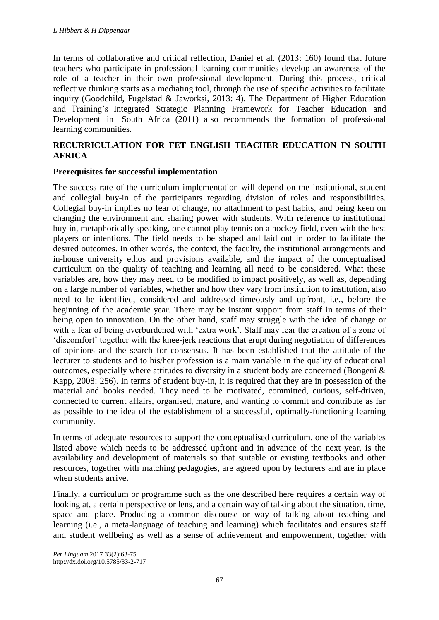In terms of collaborative and critical reflection, Daniel et al. (2013: 160) found that future teachers who participate in professional learning communities develop an awareness of the role of a teacher in their own professional development. During this process, critical reflective thinking starts as a mediating tool, through the use of specific activities to facilitate inquiry (Goodchild, Fugelstad & Jaworksi, 2013: 4). The Department of Higher Education and Training's Integrated Strategic Planning Framework for Teacher Education and Development in South Africa (2011) also recommends the formation of professional learning communities.

# **RECURRICULATION FOR FET ENGLISH TEACHER EDUCATION IN SOUTH AFRICA**

#### **Prerequisites for successful implementation**

The success rate of the curriculum implementation will depend on the institutional, student and collegial buy-in of the participants regarding division of roles and responsibilities. Collegial buy-in implies no fear of change, no attachment to past habits, and being keen on changing the environment and sharing power with students. With reference to institutional buy-in, metaphorically speaking, one cannot play tennis on a hockey field, even with the best players or intentions. The field needs to be shaped and laid out in order to facilitate the desired outcomes. In other words, the context, the faculty, the institutional arrangements and in-house university ethos and provisions available, and the impact of the conceptualised curriculum on the quality of teaching and learning all need to be considered. What these variables are, how they may need to be modified to impact positively, as well as, depending on a large number of variables, whether and how they vary from institution to institution, also need to be identified, considered and addressed timeously and upfront, i.e., before the beginning of the academic year. There may be instant support from staff in terms of their being open to innovation. On the other hand, staff may struggle with the idea of change or with a fear of being overburdened with 'extra work'. Staff may fear the creation of a zone of 'discomfort' together with the knee-jerk reactions that erupt during negotiation of differences of opinions and the search for consensus. It has been established that the attitude of the lecturer to students and to his/her profession is a main variable in the quality of educational outcomes, especially where attitudes to diversity in a student body are concerned (Bongeni & Kapp, 2008: 256). In terms of student buy-in, it is required that they are in possession of the material and books needed. They need to be motivated, committed, curious, self-driven, connected to current affairs, organised, mature, and wanting to commit and contribute as far as possible to the idea of the establishment of a successful, optimally-functioning learning community.

In terms of adequate resources to support the conceptualised curriculum, one of the variables listed above which needs to be addressed upfront and in advance of the next year, is the availability and development of materials so that suitable or existing textbooks and other resources, together with matching pedagogies, are agreed upon by lecturers and are in place when students arrive.

Finally, a curriculum or programme such as the one described here requires a certain way of looking at, a certain perspective or lens, and a certain way of talking about the situation, time, space and place. Producing a common discourse or way of talking about teaching and learning (i.e., a meta-language of teaching and learning) which facilitates and ensures staff and student wellbeing as well as a sense of achievement and empowerment, together with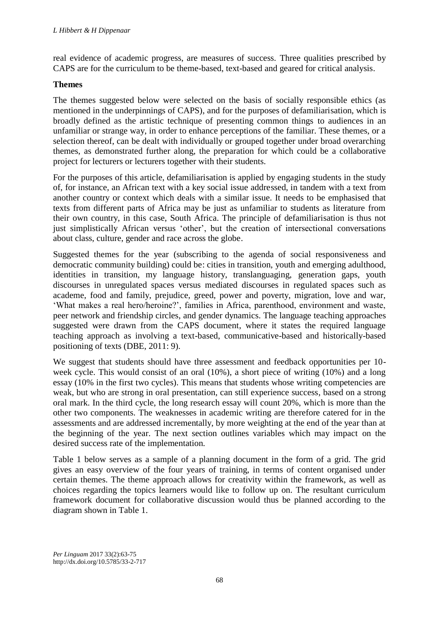real evidence of academic progress, are measures of success. Three qualities prescribed by CAPS are for the curriculum to be theme-based, text-based and geared for critical analysis.

#### **Themes**

The themes suggested below were selected on the basis of socially responsible ethics (as mentioned in the underpinnings of CAPS), and for the purposes of defamiliarisation, which is broadly defined as the artistic technique of presenting common things to audiences in an unfamiliar or strange way, in order to enhance perceptions of the familiar. These themes, or a selection thereof, can be dealt with individually or grouped together under broad overarching themes, as demonstrated further along, the preparation for which could be a collaborative project for lecturers or lecturers together with their students.

For the purposes of this article, defamiliarisation is applied by engaging students in the study of, for instance, an African text with a key social issue addressed, in tandem with a text from another country or context which deals with a similar issue. It needs to be emphasised that texts from different parts of Africa may be just as unfamiliar to students as literature from their own country, in this case, South Africa. The principle of defamiliarisation is thus not just simplistically African versus 'other', but the creation of intersectional conversations about class, culture, gender and race across the globe.

Suggested themes for the year (subscribing to the agenda of social responsiveness and democratic community building) could be: cities in transition, youth and emerging adulthood, identities in transition, my language history, translanguaging, generation gaps, youth discourses in unregulated spaces versus mediated discourses in regulated spaces such as academe, food and family, prejudice, greed, power and poverty, migration, love and war, 'What makes a real hero/heroine?', families in Africa, parenthood, environment and waste, peer network and friendship circles, and gender dynamics. The language teaching approaches suggested were drawn from the CAPS document, where it states the required language teaching approach as involving a text-based, communicative-based and historically-based positioning of texts (DBE, 2011: 9).

We suggest that students should have three assessment and feedback opportunities per 10 week cycle. This would consist of an oral (10%), a short piece of writing (10%) and a long essay (10% in the first two cycles). This means that students whose writing competencies are weak, but who are strong in oral presentation, can still experience success, based on a strong oral mark. In the third cycle, the long research essay will count 20%, which is more than the other two components. The weaknesses in academic writing are therefore catered for in the assessments and are addressed incrementally, by more weighting at the end of the year than at the beginning of the year. The next section outlines variables which may impact on the desired success rate of the implementation.

Table 1 below serves as a sample of a planning document in the form of a grid. The grid gives an easy overview of the four years of training, in terms of content organised under certain themes. The theme approach allows for creativity within the framework, as well as choices regarding the topics learners would like to follow up on. The resultant curriculum framework document for collaborative discussion would thus be planned according to the diagram shown in Table 1.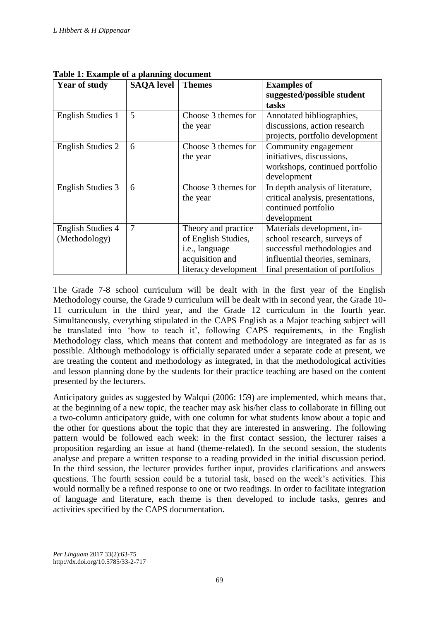| <b>Year of study</b>     | <b>SAQA</b> level | <b>Themes</b>        | <b>Examples of</b>                |
|--------------------------|-------------------|----------------------|-----------------------------------|
|                          |                   |                      | suggested/possible student        |
|                          |                   |                      | tasks                             |
| <b>English Studies 1</b> | 5                 | Choose 3 themes for  | Annotated bibliographies,         |
|                          |                   | the year             | discussions, action research      |
|                          |                   |                      | projects, portfolio development   |
| <b>English Studies 2</b> | 6                 | Choose 3 themes for  | Community engagement              |
|                          |                   | the year             | initiatives, discussions,         |
|                          |                   |                      | workshops, continued portfolio    |
|                          |                   |                      | development                       |
| English Studies 3        | 6                 | Choose 3 themes for  | In depth analysis of literature,  |
|                          |                   | the year             | critical analysis, presentations, |
|                          |                   |                      | continued portfolio               |
|                          |                   |                      | development                       |
| <b>English Studies 4</b> | 7                 | Theory and practice  | Materials development, in-        |
| (Methodology)            |                   | of English Studies,  | school research, surveys of       |
|                          |                   | i.e., language       | successful methodologies and      |
|                          |                   | acquisition and      | influential theories, seminars,   |
|                          |                   | literacy development | final presentation of portfolios  |

**Table 1: Example of a planning document**

The Grade 7-8 school curriculum will be dealt with in the first year of the English Methodology course, the Grade 9 curriculum will be dealt with in second year, the Grade 10- 11 curriculum in the third year, and the Grade 12 curriculum in the fourth year. Simultaneously, everything stipulated in the CAPS English as a Major teaching subject will be translated into 'how to teach it', following CAPS requirements, in the English Methodology class, which means that content and methodology are integrated as far as is possible. Although methodology is officially separated under a separate code at present, we are treating the content and methodology as integrated, in that the methodological activities and lesson planning done by the students for their practice teaching are based on the content presented by the lecturers.

Anticipatory guides as suggested by Walqui (2006: 159) are implemented, which means that, at the beginning of a new topic, the teacher may ask his/her class to collaborate in filling out a two-column anticipatory guide, with one column for what students know about a topic and the other for questions about the topic that they are interested in answering. The following pattern would be followed each week: in the first contact session, the lecturer raises a proposition regarding an issue at hand (theme-related). In the second session, the students analyse and prepare a written response to a reading provided in the initial discussion period. In the third session, the lecturer provides further input, provides clarifications and answers questions. The fourth session could be a tutorial task, based on the week's activities. This would normally be a refined response to one or two readings. In order to facilitate integration of language and literature, each theme is then developed to include tasks, genres and activities specified by the CAPS documentation.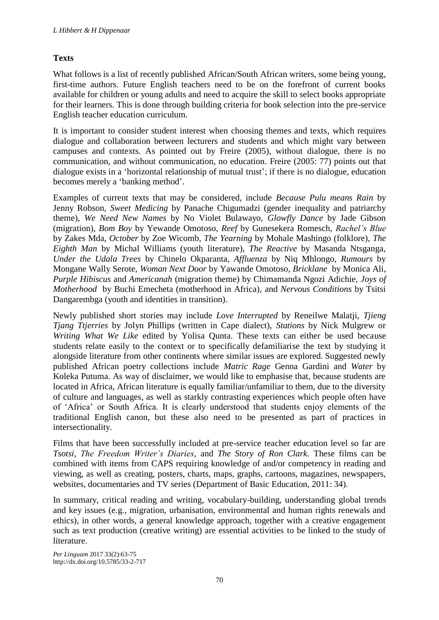# **Texts**

What follows is a list of recently published African/South African writers, some being young, first-time authors. Future English teachers need to be on the forefront of current books available for children or young adults and need to acquire the skill to select books appropriate for their learners. This is done through building criteria for book selection into the pre-service English teacher education curriculum.

It is important to consider student interest when choosing themes and texts, which requires dialogue and collaboration between lecturers and students and which might vary between campuses and contexts. As pointed out by Freire (2005), without dialogue, there is no communication, and without communication, no education. Freire (2005: 77) points out that dialogue exists in a 'horizontal relationship of mutual trust'; if there is no dialogue, education becomes merely a 'banking method'.

Examples of current texts that may be considered, include *Because Pulu means Rain* by Jenny Robson, *Sweet Medicing* by Panache Chigumadzi (gender inequality and patriarchy theme), *We Need New Names* by No Violet Bulawayo, *Glowfly Dance* by Jade Gibson (migration), *Bom Boy* by Yewande Omotoso, *Reef* by Gunesekera Romesch, *Rachel's Blue* by Zakes Mda, *October* by Zoe Wicomb, *The Yearning* by Mohale Mashingo (folklore), *The Eighth Man* by Michal Williams (youth literature), *The Reactive* by Masanda Ntsganga, *Under the Udala Trees* by Chinelo Okparanta, *Affluenza* by Niq Mhlongo, *Rumours* by Mongane Wally Serote, *Woman Next Door* by Yawande Omotoso, *Bricklane* by Monica Ali, *Purple Hibiscus* and *Americanah* (migration theme) by Chimamanda Ngozi Adichie, *Joys of Motherhood* by Buchi Emecheta (motherhood in Africa), and *Nervous Conditions* by Tsitsi Dangarembga (youth and identities in transition).

Newly published short stories may include *Love Interrupted* by Reneilwe Malatji, *Tjieng Tjang Ttjerries* by Jolyn Phillips (written in Cape dialect), *Stations* by Nick Mulgrew or *Writing What We Like* edited by Yolisa Qunta. These texts can either be used because students relate easily to the context or to specifically defamiliarise the text by studying it alongside literature from other continents where similar issues are explored. Suggested newly published African poetry collections include *Matric Rage* Genna Gardini and *Water* by Koleka Putuma. As way of disclaimer, we would like to emphasise that, because students are located in Africa, African literature is equally familiar/unfamiliar to them, due to the diversity of culture and languages, as well as starkly contrasting experiences which people often have of 'Africa' or South Africa. It is clearly understood that students enjoy elements of the traditional English canon, but these also need to be presented as part of practices in intersectionality.

Films that have been successfully included at pre-service teacher education level so far are *Tsotsi*, *The Freedom Writer's Diaries*, and *The Story of Ron Clark.* These films can be combined with items from CAPS requiring knowledge of and/or competency in reading and viewing, as well as creating, posters, charts, maps, graphs, cartoons, magazines, newspapers, websites, documentaries and TV series (Department of Basic Education, 2011: 34).

In summary, critical reading and writing, vocabulary-building, understanding global trends and key issues (e.g., migration, urbanisation, environmental and human rights renewals and ethics), in other words, a general knowledge approach, together with a creative engagement such as text production (creative writing) are essential activities to be linked to the study of literature.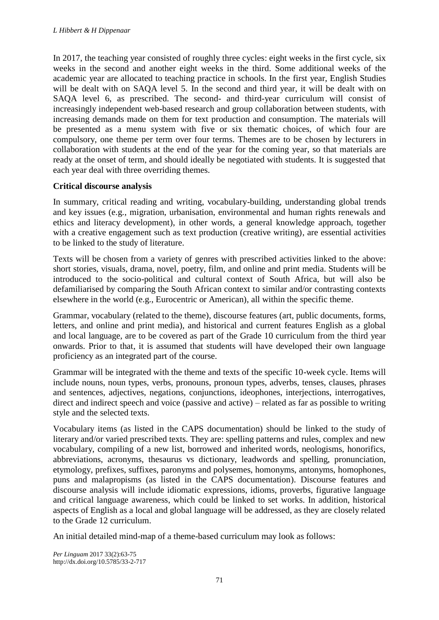In 2017, the teaching year consisted of roughly three cycles: eight weeks in the first cycle, six weeks in the second and another eight weeks in the third. Some additional weeks of the academic year are allocated to teaching practice in schools. In the first year, English Studies will be dealt with on SAQA level 5. In the second and third year, it will be dealt with on SAQA level 6, as prescribed. The second- and third-year curriculum will consist of increasingly independent web-based research and group collaboration between students, with increasing demands made on them for text production and consumption. The materials will be presented as a menu system with five or six thematic choices, of which four are compulsory, one theme per term over four terms. Themes are to be chosen by lecturers in collaboration with students at the end of the year for the coming year, so that materials are ready at the onset of term, and should ideally be negotiated with students. It is suggested that each year deal with three overriding themes.

# **Critical discourse analysis**

In summary, critical reading and writing, vocabulary-building, understanding global trends and key issues (e.g., migration, urbanisation, environmental and human rights renewals and ethics and literacy development), in other words, a general knowledge approach, together with a creative engagement such as text production (creative writing), are essential activities to be linked to the study of literature.

Texts will be chosen from a variety of genres with prescribed activities linked to the above: short stories, visuals, drama, novel, poetry, film, and online and print media. Students will be introduced to the socio-political and cultural context of South Africa, but will also be defamiliarised by comparing the South African context to similar and/or contrasting contexts elsewhere in the world (e.g., Eurocentric or American), all within the specific theme.

Grammar, vocabulary (related to the theme), discourse features (art, public documents, forms, letters, and online and print media), and historical and current features English as a global and local language, are to be covered as part of the Grade 10 curriculum from the third year onwards. Prior to that, it is assumed that students will have developed their own language proficiency as an integrated part of the course.

Grammar will be integrated with the theme and texts of the specific 10-week cycle. Items will include nouns, noun types, verbs, pronouns, pronoun types, adverbs, tenses, clauses, phrases and sentences, adjectives, negations, conjunctions, ideophones, interjections, interrogatives, direct and indirect speech and voice (passive and active) – related as far as possible to writing style and the selected texts.

Vocabulary items (as listed in the CAPS documentation) should be linked to the study of literary and/or varied prescribed texts. They are: spelling patterns and rules, complex and new vocabulary, compiling of a new list, borrowed and inherited words, neologisms, honorifics, abbreviations, acronyms, thesaurus vs dictionary, leadwords and spelling, pronunciation, etymology, prefixes, suffixes, paronyms and polysemes, homonyms, antonyms, homophones, puns and malapropisms (as listed in the CAPS documentation). Discourse features and discourse analysis will include idiomatic expressions, idioms, proverbs, figurative language and critical language awareness, which could be linked to set works. In addition, historical aspects of English as a local and global language will be addressed, as they are closely related to the Grade 12 curriculum.

An initial detailed mind-map of a theme-based curriculum may look as follows: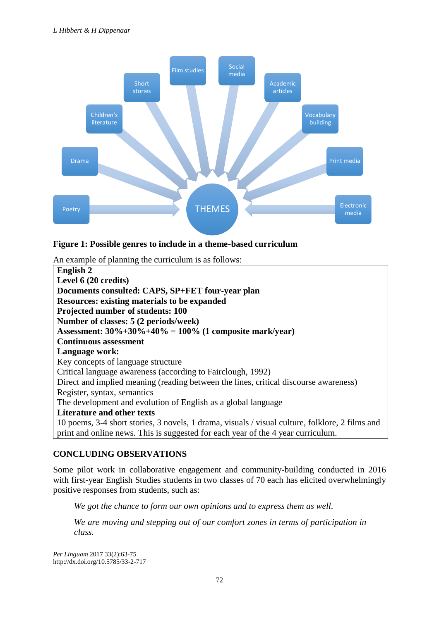

# **Figure 1: Possible genres to include in a theme-based curriculum**

An example of planning the curriculum is as follows:

| English 2                                                                                       |  |  |  |
|-------------------------------------------------------------------------------------------------|--|--|--|
| Level 6 (20 credits)                                                                            |  |  |  |
|                                                                                                 |  |  |  |
| Documents consulted: CAPS, SP+FET four-year plan                                                |  |  |  |
| <b>Resources: existing materials to be expanded</b>                                             |  |  |  |
| Projected number of students: 100                                                               |  |  |  |
| Number of classes: 5 (2 periods/week)                                                           |  |  |  |
| Assessment: $30\% + 30\% + 40\% = 100\%$ (1 composite mark/year)                                |  |  |  |
| <b>Continuous assessment</b>                                                                    |  |  |  |
| Language work:                                                                                  |  |  |  |
| Key concepts of language structure                                                              |  |  |  |
| Critical language awareness (according to Fairclough, 1992)                                     |  |  |  |
| Direct and implied meaning (reading between the lines, critical discourse awareness)            |  |  |  |
| Register, syntax, semantics                                                                     |  |  |  |
| The development and evolution of English as a global language                                   |  |  |  |
| <b>Literature and other texts</b>                                                               |  |  |  |
| 10 poems, 3-4 short stories, 3 novels, 1 drama, visuals / visual culture, folklore, 2 films and |  |  |  |
| print and online news. This is suggested for each year of the 4 year curriculum.                |  |  |  |

# **CONCLUDING OBSERVATIONS**

Some pilot work in collaborative engagement and community-building conducted in 2016 with first-year English Studies students in two classes of 70 each has elicited overwhelmingly positive responses from students, such as:

*We got the chance to form our own opinions and to express them as well.*

*We are moving and stepping out of our comfort zones in terms of participation in class.*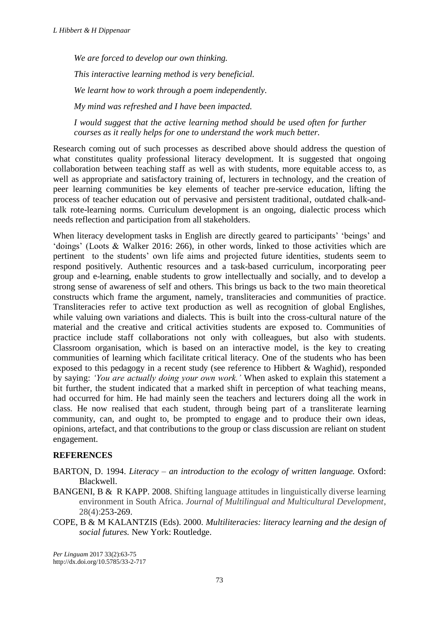*We are forced to develop our own thinking. This interactive learning method is very beneficial. We learnt how to work through a poem independently. My mind was refreshed and I have been impacted.*

*I would suggest that the active learning method should be used often for further courses as it really helps for one to understand the work much better.*

Research coming out of such processes as described above should address the question of what constitutes quality professional literacy development. It is suggested that ongoing collaboration between teaching staff as well as with students, more equitable access to, as well as appropriate and satisfactory training of, lecturers in technology, and the creation of peer learning communities be key elements of teacher pre-service education, lifting the process of teacher education out of pervasive and persistent traditional, outdated chalk-andtalk rote-learning norms. Curriculum development is an ongoing, dialectic process which needs reflection and participation from all stakeholders.

When literacy development tasks in English are directly geared to participants' 'beings' and 'doings' (Loots & Walker 2016: 266), in other words, linked to those activities which are pertinent to the students' own life aims and projected future identities, students seem to respond positively. Authentic resources and a task-based curriculum, incorporating peer group and e-learning, enable students to grow intellectually and socially, and to develop a strong sense of awareness of self and others. This brings us back to the two main theoretical constructs which frame the argument, namely, transliteracies and communities of practice. Transliteracies refer to active text production as well as recognition of global Englishes, while valuing own variations and dialects. This is built into the cross-cultural nature of the material and the creative and critical activities students are exposed to. Communities of practice include staff collaborations not only with colleagues, but also with students. Classroom organisation, which is based on an interactive model, is the key to creating communities of learning which facilitate critical literacy. One of the students who has been exposed to this pedagogy in a recent study (see reference to Hibbert & Waghid), responded by saying: *'You are actually doing your own work.'* When asked to explain this statement a bit further, the student indicated that a marked shift in perception of what teaching means, had occurred for him. He had mainly seen the teachers and lecturers doing all the work in class. He now realised that each student, through being part of a transliterate learning community, can, and ought to, be prompted to engage and to produce their own ideas, opinions, artefact, and that contributions to the group or class discussion are reliant on student engagement.

# **REFERENCES**

- BARTON, D. 1994. *Literacy – an introduction to the ecology of written language.* Oxford: Blackwell.
- BANGENI, B & R KAPP. 2008. Shifting language attitudes in linguistically diverse learning environment in South Africa. *Journal of Multilingual and Multicultural Development*, 28(4):253-269.
- COPE, B & M KALANTZIS (Eds). 2000. *Multiliteracies: literacy learning and the design of social futures.* New York: Routledge.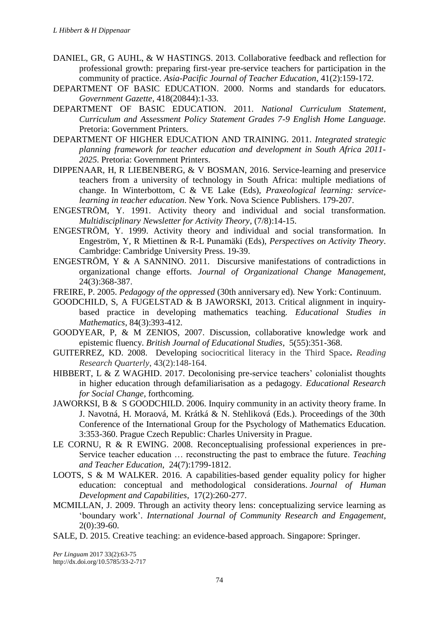- DANIEL, GR, G AUHL, & W HASTINGS. 2013. Collaborative feedback and reflection for professional growth: preparing first-year pre-service teachers for participation in the community of practice. *Asia-Pacific Journal of Teacher Education*, 41(2):159-172.
- DEPARTMENT OF BASIC EDUCATION. 2000. Norms and standards for educators*. Government Gazette,* 418(20844):1-33.
- DEPARTMENT OF BASIC EDUCATION. 2011. *National Curriculum Statement, Curriculum and Assessment Policy Statement Grades 7-9 English Home Language.*  Pretoria: Government Printers.
- DEPARTMENT OF HIGHER EDUCATION AND TRAINING. 2011. *Integrated strategic planning framework for teacher education and development in South Africa 2011- 2025*. Pretoria: Government Printers.
- DIPPENAAR, H, R LIEBENBERG, & V BOSMAN, 2016. Service-learning and preservice teachers from a university of technology in South Africa: multiple mediations of change. In Winterbottom, C & VE Lake (Eds), *Praxeological learning: servicelearning in teacher education*. New York. Nova Science Publishers. 179-207.
- ENGESTRÖM, Y. 1991. Activity theory and individual and social transformation. *Multidisciplinary Newsletter for Activity Theory*, (7/8):14-15.
- ENGESTRÖM, Y. 1999. Activity theory and individual and social transformation. In Engeström, Y, R Miettinen & R-L Punamäki (Eds), *Perspectives on Activity Theory*. Cambridge: Cambridge University Press. 19-39.
- ENGESTRÖM, Y & A SANNINO. 2011. Discursive manifestations of contradictions in organizational change efforts. *Journal of Organizational Change Management,* 24(3):368-387.
- FREIRE, P. 2005. *Pedagogy of the oppressed* (30th anniversary ed)*.* New York: Continuum.
- GOODCHILD, S, A FUGELSTAD & B JAWORSKI, 2013. Critical alignment in inquirybased practice in developing mathematics teaching. *Educational Studies in Mathematics*, 84(3):393-412.
- GOODYEAR, P, & M ZENIOS, 2007. Discussion, collaborative knowledge work and epistemic fluency. *British Journal of Educational Studies*, 5(55):351-368.
- GUITERREZ, KD. 2008. Developing sociocritical literacy in the Third Space**.** *Reading Research Quarterly*, 43(2):148-164.
- HIBBERT, L & Z WAGHID. 2017. Decolonising pre-service teachers' colonialist thoughts in higher education through defamiliarisation as a pedagogy. *Educational Research for Social Change*, forthcoming.
- JAWORKSI, B & S GOODCHILD. 2006. Inquiry community in an activity theory frame. In J. Navotná, H. Moraová, M. Krátká & N. Stehliková (Eds.). Proceedings of the 30th Conference of the International Group for the Psychology of Mathematics Education. 3:353-360. Prague Czech Republic: Charles University in Prague.
- LE CORNU, R & R EWING. 2008. Reconceptualising professional experiences in pre-Service teacher education … reconstructing the past to embrace the future. *Teaching and Teacher Education*, 24(7):1799-1812.
- LOOTS, S & M WALKER. 2016. A capabilities-based gender equality policy for higher education: conceptual and methodological considerations. *Journal of Human Development and Capabilities*, 17(2):260-277.
- MCMILLAN, J. 2009. Through an activity theory lens: conceptualizing service learning as 'boundary work'. *International Journal of Community Research and Engagement*, 2(0):39-60.
- SALE, D. 2015. Creative teaching: an evidence-based approach. Singapore: Springer.